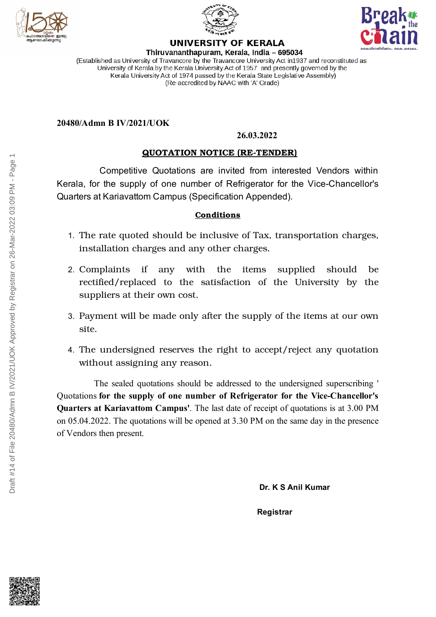





#### **UNIVERSITY OF KERALA** Thiruvananthapuram, Kerala, India - 695034

(Established as University of Travancore by the Travancore University Act in 1937 and reconstituted as University of Kerala by the Kerala University Act of 1957 and presently governed by the Kerala University Act of 1974 passed by the Kerala State Legislative Assembly) (Re-accredited by NAAC with 'A' Grade)

### **20480/Admn B IV/2021/UOK**

#### **26.03.2022**

## **QUOTATION NOTICE (RE-TENDER)**

Competitive Quotations are invited from interested Vendors within Kerala, for the supply of one number of Refrigerator for the Vice-Chancellor's Quarters at Kariavattom Campus (Specification Appended).

#### **Conditions**

- 1. The rate quoted should be inclusive of Tax, transportation charges, installation charges and any other charges.
- 2. Complaints if any with the items supplied should be rectified/replaced to the satisfaction of the University by the suppliers at their own cost.
- 3. Payment will be made only after the supply of the items at our own site.
- 4. The undersigned reserves the right to accept/reject any quotation without assigning any reason.

The sealed quotations should be addressed to the undersigned superscribing ' Quotations **for the supply of one number of Refrigerator for the Vice-Chancellor's Quarters at Kariavattom Campus'**. The last date of receipt of quotations is at 3.00 PM on 05.04.2022. The quotations will be opened at 3.30 PM on the same day in the presence of Vendors then present.

**Dr. K S Anil Kumar**

**Registrar**